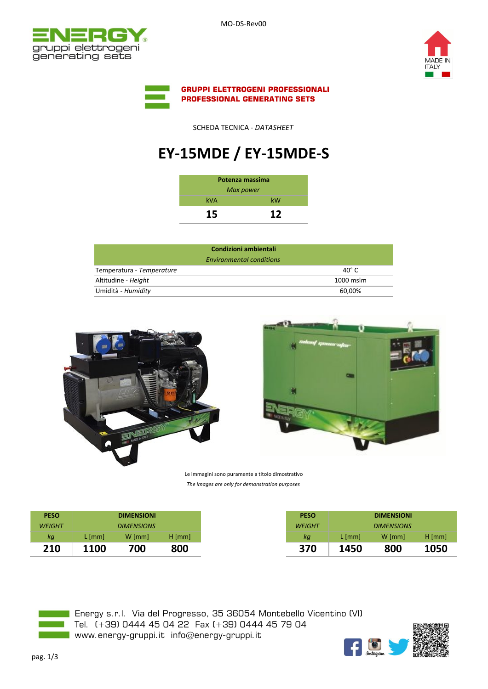MO-DS-Rev00







SCHEDA TECNICA - *DATASHEET*

## **EY-15MDE / EY-15MDE-S**

| Potenza massima |     |  |  |  |
|-----------------|-----|--|--|--|
| Max power       |     |  |  |  |
| <b>kVA</b>      | kW  |  |  |  |
| 15              | 1 S |  |  |  |

| 40 $^{\circ}$ C |
|-----------------|
| $1000$ mslm     |
| 60.00%          |
|                 |





Le immagini sono puramente a titolo dimostrativo *The images are only for demonstration purposes*

| <b>PESO</b>   |             | <b>DIMENSIONI</b> |          |
|---------------|-------------|-------------------|----------|
| <b>WEIGHT</b> |             | <b>DIMENSIONS</b> |          |
| кg            | L [mm]      | $W$ [mm]          | $H$ [mm] |
| 210           | <b>1100</b> | 700               | 800      |



**Energy s.r.l. Via del Progresso, 35 36054 Montebello Vicentino (VI)** Tel. (+39) 0444 45 04 22 Fax (+39) 0444 45 79 04 www.energy-gruppi.it info@energy-gruppi.it

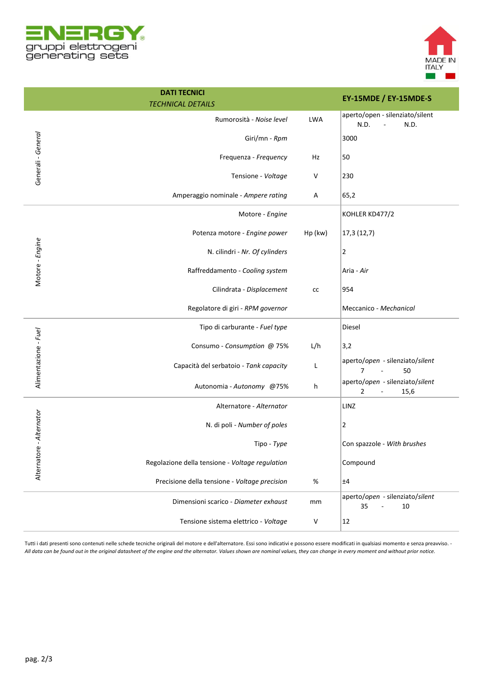



|                          | <b>DATI TECNICI</b><br><b>TECHNICAL DETAILS</b> |            | EY-15MDE / EY-15MDE-S                                     |
|--------------------------|-------------------------------------------------|------------|-----------------------------------------------------------|
|                          | Rumorosità - Noise level                        | <b>LWA</b> | aperto/open - silenziato/silent<br>N.D.<br>N.D.           |
| Generali - General       | Giri/mn - Rpm                                   |            | 3000                                                      |
|                          | Frequenza - Frequency                           | Ηz         | 50                                                        |
|                          | Tensione - Voltage                              | V          | 230                                                       |
|                          | Amperaggio nominale - Ampere rating             | Α          | 65,2                                                      |
|                          | Motore - Engine                                 |            | KOHLER KD477/2                                            |
|                          | Potenza motore - Engine power                   | Hp (kw)    | 17,3 (12,7)                                               |
|                          | N. cilindri - Nr. Of cylinders                  |            | 2                                                         |
| Motore - Engine          | Raffreddamento - Cooling system                 |            | Aria - Air                                                |
|                          | Cilindrata - Displacement                       | cc         | 954                                                       |
|                          | Regolatore di giri - RPM governor               |            | Meccanico - Mechanical                                    |
|                          | Tipo di carburante - Fuel type                  |            | Diesel                                                    |
|                          | Consumo - Consumption @ 75%                     | L/h        | 3,2                                                       |
| Alimentazione - Fuel     | Capacità del serbatoio - Tank capacity          | L          | aperto/open - silenziato/silent<br>50<br>7                |
|                          | Autonomia - Autonomy @75%                       | h          | aperto/open - silenziato/silent<br>$\overline{2}$<br>15,6 |
| Alternatore - Alternator | Alternatore - Alternator                        |            | LINZ                                                      |
|                          | N. di poli - Number of poles                    |            | 2                                                         |
|                          | Tipo - Type                                     |            | Con spazzole - With brushes                               |
|                          | Regolazione della tensione - Voltage regulation |            | Compound                                                  |
|                          | Precisione della tensione - Voltage precision   | $\%$       | ±4                                                        |
|                          | Dimensioni scarico - Diameter exhaust           | mm         | aperto/open - silenziato/silent<br>35<br>10               |
|                          | Tensione sistema elettrico - Voltage            | V          | 12                                                        |

Tutti i dati presenti sono contenuti nelle schede tecniche originali del motore e dell'alternatore. Essi sono indicativi e possono essere modificati in qualsiasi momento e senza preavviso. - *All data can be found out in the original datasheet of the engine and the alternator. Values shown are nominal values, they can change in every moment and without prior notice.*